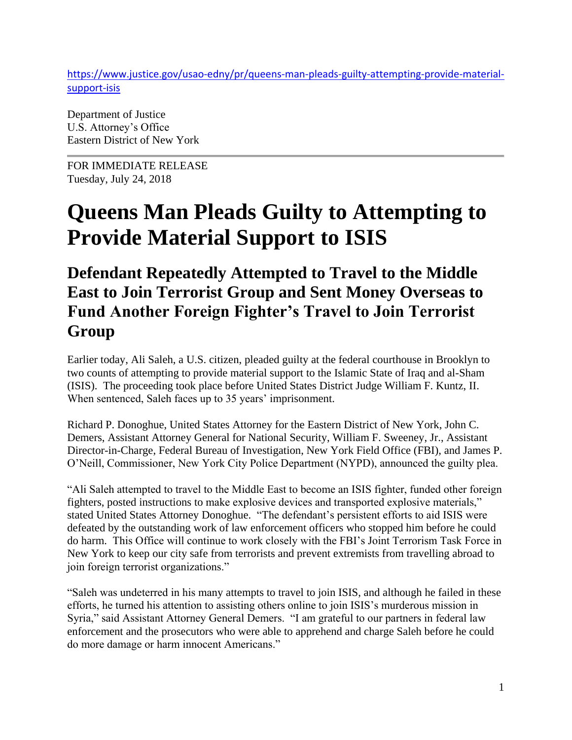[https://www.justice.gov/usao-edny/pr/queens-man-pleads-guilty-attempting-provide-material](https://www.justice.gov/usao-edny/pr/queens-man-pleads-guilty-attempting-provide-material-support-isis)[support-isis](https://www.justice.gov/usao-edny/pr/queens-man-pleads-guilty-attempting-provide-material-support-isis)

Department of Justice U.S. Attorney's Office Eastern District of New York

FOR IMMEDIATE RELEASE Tuesday, July 24, 2018

## **Queens Man Pleads Guilty to Attempting to Provide Material Support to ISIS**

## **Defendant Repeatedly Attempted to Travel to the Middle East to Join Terrorist Group and Sent Money Overseas to Fund Another Foreign Fighter's Travel to Join Terrorist Group**

Earlier today, Ali Saleh, a U.S. citizen, pleaded guilty at the federal courthouse in Brooklyn to two counts of attempting to provide material support to the Islamic State of Iraq and al-Sham (ISIS). The proceeding took place before United States District Judge William F. Kuntz, II. When sentenced, Saleh faces up to 35 years' imprisonment.

Richard P. Donoghue, United States Attorney for the Eastern District of New York, John C. Demers, Assistant Attorney General for National Security, William F. Sweeney, Jr., Assistant Director-in-Charge, Federal Bureau of Investigation, New York Field Office (FBI), and James P. O'Neill, Commissioner, New York City Police Department (NYPD), announced the guilty plea.

"Ali Saleh attempted to travel to the Middle East to become an ISIS fighter, funded other foreign fighters, posted instructions to make explosive devices and transported explosive materials," stated United States Attorney Donoghue. "The defendant's persistent efforts to aid ISIS were defeated by the outstanding work of law enforcement officers who stopped him before he could do harm. This Office will continue to work closely with the FBI's Joint Terrorism Task Force in New York to keep our city safe from terrorists and prevent extremists from travelling abroad to join foreign terrorist organizations."

"Saleh was undeterred in his many attempts to travel to join ISIS, and although he failed in these efforts, he turned his attention to assisting others online to join ISIS's murderous mission in Syria," said Assistant Attorney General Demers. "I am grateful to our partners in federal law enforcement and the prosecutors who were able to apprehend and charge Saleh before he could do more damage or harm innocent Americans."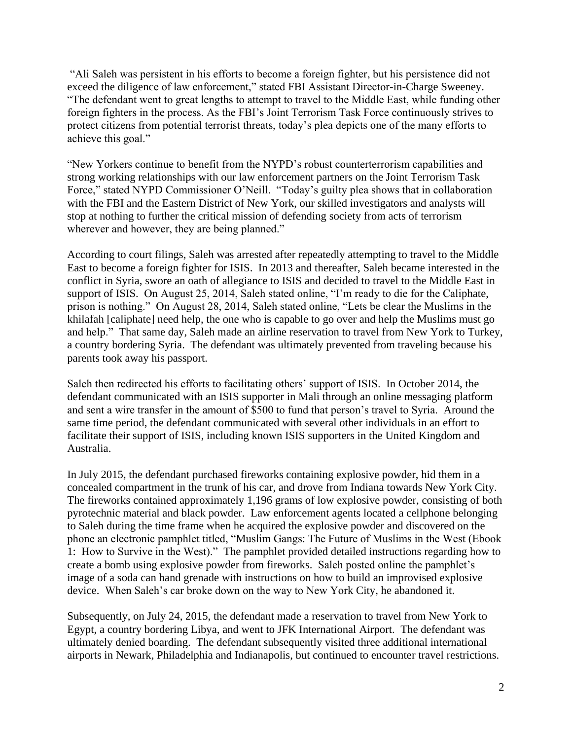"Ali Saleh was persistent in his efforts to become a foreign fighter, but his persistence did not exceed the diligence of law enforcement," stated FBI Assistant Director-in-Charge Sweeney. "The defendant went to great lengths to attempt to travel to the Middle East, while funding other foreign fighters in the process. As the FBI's Joint Terrorism Task Force continuously strives to protect citizens from potential terrorist threats, today's plea depicts one of the many efforts to achieve this goal."

"New Yorkers continue to benefit from the NYPD's robust counterterrorism capabilities and strong working relationships with our law enforcement partners on the Joint Terrorism Task Force," stated NYPD Commissioner O'Neill. "Today's guilty plea shows that in collaboration with the FBI and the Eastern District of New York, our skilled investigators and analysts will stop at nothing to further the critical mission of defending society from acts of terrorism wherever and however, they are being planned."

According to court filings, Saleh was arrested after repeatedly attempting to travel to the Middle East to become a foreign fighter for ISIS. In 2013 and thereafter, Saleh became interested in the conflict in Syria, swore an oath of allegiance to ISIS and decided to travel to the Middle East in support of ISIS. On August 25, 2014, Saleh stated online, "I'm ready to die for the Caliphate, prison is nothing." On August 28, 2014, Saleh stated online, "Lets be clear the Muslims in the khilafah [caliphate] need help, the one who is capable to go over and help the Muslims must go and help." That same day, Saleh made an airline reservation to travel from New York to Turkey, a country bordering Syria. The defendant was ultimately prevented from traveling because his parents took away his passport.

Saleh then redirected his efforts to facilitating others' support of ISIS. In October 2014, the defendant communicated with an ISIS supporter in Mali through an online messaging platform and sent a wire transfer in the amount of \$500 to fund that person's travel to Syria. Around the same time period, the defendant communicated with several other individuals in an effort to facilitate their support of ISIS, including known ISIS supporters in the United Kingdom and Australia.

In July 2015, the defendant purchased fireworks containing explosive powder, hid them in a concealed compartment in the trunk of his car, and drove from Indiana towards New York City. The fireworks contained approximately 1,196 grams of low explosive powder, consisting of both pyrotechnic material and black powder. Law enforcement agents located a cellphone belonging to Saleh during the time frame when he acquired the explosive powder and discovered on the phone an electronic pamphlet titled, "Muslim Gangs: The Future of Muslims in the West (Ebook 1: How to Survive in the West)." The pamphlet provided detailed instructions regarding how to create a bomb using explosive powder from fireworks. Saleh posted online the pamphlet's image of a soda can hand grenade with instructions on how to build an improvised explosive device. When Saleh's car broke down on the way to New York City, he abandoned it.

Subsequently, on July 24, 2015, the defendant made a reservation to travel from New York to Egypt, a country bordering Libya, and went to JFK International Airport. The defendant was ultimately denied boarding. The defendant subsequently visited three additional international airports in Newark, Philadelphia and Indianapolis, but continued to encounter travel restrictions.